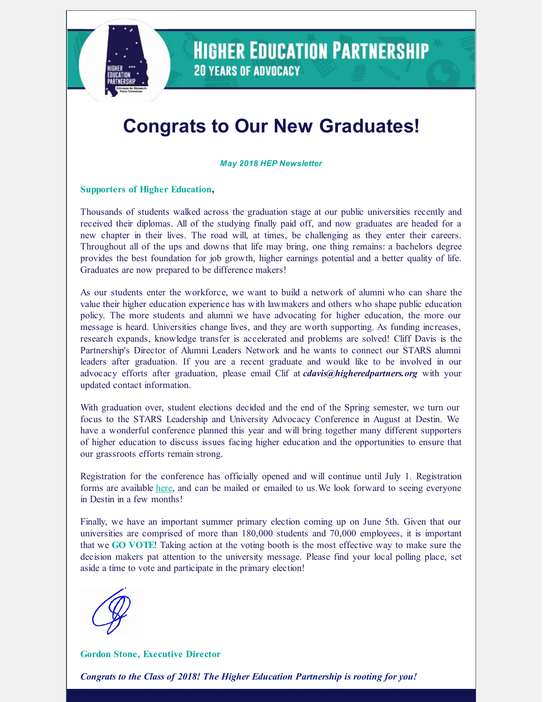

**HIGHER EDUCATION PARTNERSHIP 20 YEARS OF ADVOCACY** 

# **Congrats to Our New Graduates!**

*May 2018 HEP Newsletter*

#### **Supporters of Higher Education,**

Thousands of students walked across the graduation stage at our public universities recently and received their diplomas. All of the studying finally paid off, and now graduates are headed for a new chapter in their lives. The road will, at times, be challenging as they enter their careers. Throughout all of the ups and downs that life may bring, one thing remains: a bachelors degree provides the best foundation for job growth, higher earnings potential and a better quality of life. Graduates are now prepared to be difference makers!

As our students enter the workforce, we want to build a network of alumni who can share the value their higher education experience has with lawmakers and others who shape public education policy. The more students and alumni we have advocating for higher education, the more our message is heard. Universities change lives, and they are worth supporting. As funding increases, research expands, knowledge transfer is accelerated and problems are solved! Cliff Davis is the Partnership's Director of Alumni Leaders Network and he wants to connect our STARS alumni leaders after graduation. If you are a recent graduate and would like to be involved in our advocacy efforts after graduation, please email Clif at *[cdavis@higheredpartners.org](mailto:causey@higheredpartners.org)* with your updated contact information.

With graduation over, student elections decided and the end of the Spring semester, we turn our focus to the STARS Leadership and University Advocacy Conference in August at Destin. We have a wonderful conference planned this year and will bring together many different supporters of higher education to discuss issues facing higher education and the opportunities to ensure that our grassroots efforts remain strong.

Registration for the conference has officially opened and will continue until July 1. Registration forms are available [here](https://docs.wixstatic.com/ugd/c4be34_1a53706db0e04d96b77ca20cd4b4a6b1.pdf), and can be mailed or emailed to us.We look forward to seeing everyone in Destin in a few months!

Finally, we have an important summer primary election coming up on June 5th. Given that our universities are comprised of more than 180,000 students and 70,000 employees, it is important that we **GO VOTE**! Taking action at the voting booth is the most effective way to make sure the decision makers pat attention to the university message. Please find your local polling place, set aside a time to vote and participate in the primary election!



**Gordon Stone, Executive Director**

*Congrats to the Class of 2018! The Higher Education Partnership is rooting for you!*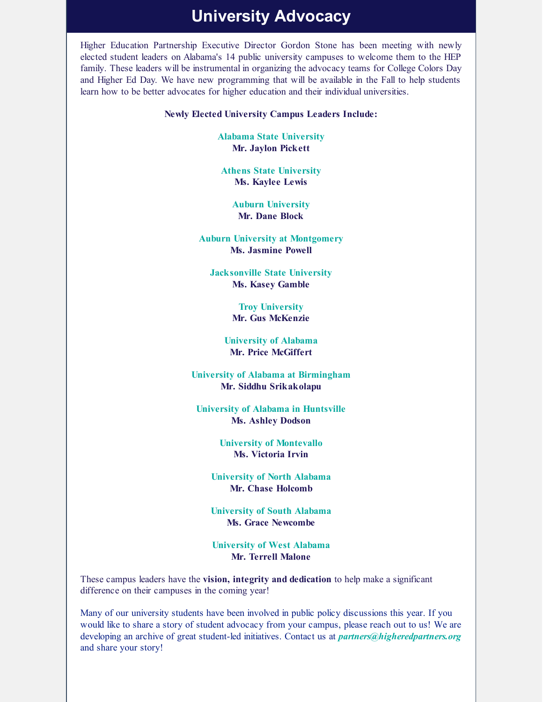### **University Advocacy**

Higher Education Partnership Executive Director Gordon Stone has been meeting with newly elected student leaders on Alabama's 14 public university campuses to welcome them to the HEP family. These leaders will be instrumental in organizing the advocacy teams for College Colors Day and Higher Ed Day. We have new programming that will be available in the Fall to help students learn how to be better advocates for higher education and their individual universities.

#### **Newly Elected University Campus Leaders Include:**

**Alabama State University Mr. Jaylon Pickett**

**Athens State University Ms. Kaylee Lewis**

> **Auburn University Mr. Dane Block**

**Auburn University at Montgomery Ms. Jasmine Powell**

**Jacksonville State University Ms. Kasey Gamble**

> **Troy University Mr. Gus McKenzie**

**University of Alabama Mr. Price McGiffert**

**University of Alabama at Birmingham Mr. Siddhu Srikakolapu**

**University of Alabama in Huntsville Ms. Ashley Dodson**

> **University of Montevallo Ms. Victoria Irvin**

**University of North Alabama Mr. Chase Holcomb**

**University of South Alabama Ms. Grace Newcombe**

**University of West Alabama Mr. Terrell Malone**

These campus leaders have the **vision, integrity and dedication** to help make a significant difference on their campuses in the coming year!

Many of our university students have been involved in public policy discussions this year. If you would like to share a story of student advocacy from your campus, please reach out to us! We are developing an archive of great student-led initiatives. Contact us at *partners@higheredpartners.org* and share your story!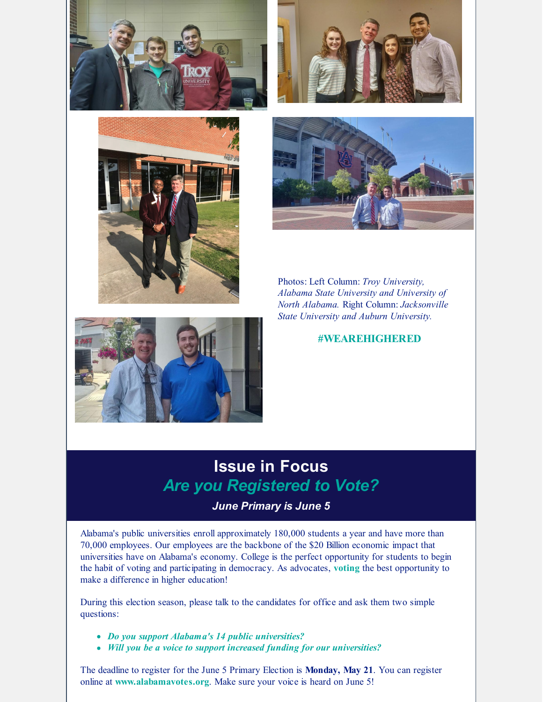







Photos: Left Column: *Troy University, Alabama State University and University of North Alabama.* Right Column: *Jacksonville State University and Auburn University.*



#### **#WEAREHIGHERED**

## **Issue in Focus** *Are you Registered to Vote?*

### *June Primary is June 5*

Alabama's public universities enroll approximately 180,000 students a year and have more than 70,000 employees. Our employees are the backbone of the \$20 Billion economic impact that universities have on Alabama's economy. College is the perfect opportunity for students to begin the habit of voting and participating in democracy. As advocates, **voting** the best opportunity to make a difference in higher education!

During this election season, please talk to the candidates for office and ask them two simple questions:

- *Do you support Alabama's 14 public universities?*
- *Will you be a voice to support increased funding for our universities?*

The deadline to register for the June 5 Primary Election is **Monday, May 21**. You can register online at **www.alabamavotes.org**. Make sure your voice is heard on June 5!